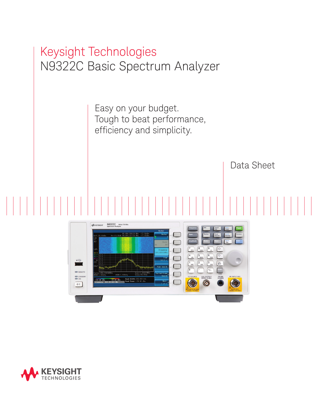



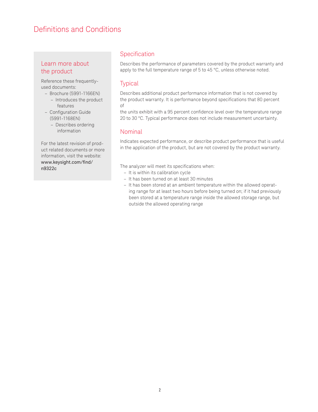### Definitions and Conditions

### Learn more about the product

Reference these frequentlyused documents:

- Brochure (5991-1166EN) – Introduces the product features
- Configuration Guide (5991-1168EN)
	- Describes ordering information

For the latest revision of product related documents or more information, visit the website: [www.keysight.com/find/](http://www.agilent.com/find/n9322c) [n9322c](http://www.agilent.com/find/n9322c)

### Specification

Describes the performance of parameters covered by the product warranty and apply to the full temperature range of 5 to 45 °C, unless otherwise noted.

### **Typical**

Describes additional product performance information that is not covered by the product warranty. It is performance beyond specifications that 80 percent of

the units exhibit with a 95 percent confidence level over the temperature range 20 to 30 °C. Typical performance does not include measurement uncertainty.

### Nominal

Indicates expected performance, or describe product performance that is useful in the application of the product, but are not covered by the product warranty.

The analyzer will meet its specifications when:

- It is within its calibration cycle
- It has been turned on at least 30 minutes
- It has been stored at an ambient temperature within the allowed operating range for at least two hours before being turned on; if it had previously been stored at a temperature range inside the allowed storage range, but outside the allowed operating range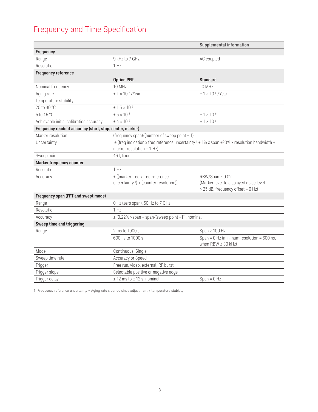## Frequency and Time Specification

|                                                          |                                                                                                                                  | Supplemental information                                                                       |
|----------------------------------------------------------|----------------------------------------------------------------------------------------------------------------------------------|------------------------------------------------------------------------------------------------|
| Frequency                                                |                                                                                                                                  |                                                                                                |
| Range                                                    | 9 kHz to 7 GHz                                                                                                                   | AC coupled                                                                                     |
| Resolution                                               | 1 Hz                                                                                                                             |                                                                                                |
| <b>Frequency reference</b>                               |                                                                                                                                  |                                                                                                |
|                                                          | <b>Option PFR</b>                                                                                                                | <b>Standard</b>                                                                                |
| Nominal frequency                                        | <b>10 MHz</b>                                                                                                                    | 10 MHz                                                                                         |
| Aging rate                                               | $± 1 × 10-7$ /Year                                                                                                               | $± 1 × 10-6$ /Year                                                                             |
| Temperature stability                                    |                                                                                                                                  |                                                                                                |
| 20 to 30 °C                                              | $± 1.5 × 10^{-8}$                                                                                                                |                                                                                                |
| 5 to 45 °C                                               | $± 5 × 10-8$                                                                                                                     | $± 1 × 10^{-6}$                                                                                |
| Achievable initial calibration accuracy                  | $\pm 4 \times 10^{-8}$                                                                                                           | $± 1 × 10-6$                                                                                   |
| Frequency readout accuracy (start, stop, center, marker) |                                                                                                                                  |                                                                                                |
| Marker resolution                                        | (frequency span)/(number of sweep point $-1$ )                                                                                   |                                                                                                |
| Uncertainty                                              | $\pm$ (freq indication x freq reference uncertainty $1 + 1\%$ x span +20% x resolution bandwidth +<br>marker resolution $+1$ Hz) |                                                                                                |
| Sweep point                                              | 461, fixed                                                                                                                       |                                                                                                |
| Marker frequency counter                                 |                                                                                                                                  |                                                                                                |
| Resolution                                               | 1 H <sub>z</sub>                                                                                                                 |                                                                                                |
| Accuracy                                                 | $\pm$ [(marker freq x freq reference<br>uncertainty $\left( \frac{1}{2} \right)$ + (counter resolution)]                         | RBW/Span ≥ 0.02<br>(Marker level to displayed noise level<br>> 25 dB, frequency offset = 0 Hz) |
| Frequency span (FFT and swept mode)                      |                                                                                                                                  |                                                                                                |
| Range                                                    | 0 Hz (zero span), 50 Hz to 7 GHz                                                                                                 |                                                                                                |
| Resolution                                               | 1 Hz                                                                                                                             |                                                                                                |
| Accuracy                                                 | $\pm$ (0.22% $\times$ span + span/(sweep point -1)), nominal                                                                     |                                                                                                |
| Sweep time and triggering                                |                                                                                                                                  |                                                                                                |
| Range                                                    | 2 ms to 1000 s                                                                                                                   | Span $\geq 100$ Hz                                                                             |
|                                                          | 600 ns to 1000 s                                                                                                                 | Span = $0$ Hz (minimum resolution = $600$ ns,<br>when RBW $\geq$ 30 kHz)                       |
| Mode                                                     | Continuous, Single                                                                                                               |                                                                                                |
| Sweep time rule                                          | Accuracy or Speed                                                                                                                |                                                                                                |
| Trigger                                                  | Free run, video, external, RF burst                                                                                              |                                                                                                |
| Trigger slope                                            | Selectable positive or negative edge                                                                                             |                                                                                                |
| Trigger delay                                            | $±$ 12 ms to $±$ 12 s, nominal                                                                                                   | $S$ pan = $0$ Hz                                                                               |

1. Frequency reference uncertainty = Aging rate x period since adjustment + temperature stability.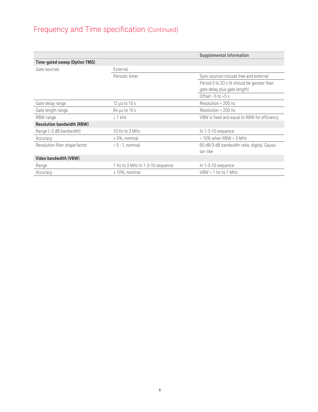# Frequency and Time specification (Continued)

|                                   |                                  | Supplemental information                     |
|-----------------------------------|----------------------------------|----------------------------------------------|
| Time-gated sweep (Option TMG)     |                                  |                                              |
| Gate sources                      | External                         |                                              |
|                                   | Periodic timer                   | Sync sources include free and external       |
|                                   |                                  | Period 0 to 20 s (It should be gerater than  |
|                                   |                                  | gate delay plus gate length)                 |
|                                   |                                  | Offset $-5$ to $+5$ s                        |
| Gate delay range                  | $12 \mu s$ to $10 s$             | $Resolution = 200$ ns                        |
| Gate length range                 | $84 \mu s$ to 10 s               | $Resolution = 200$ ns                        |
| RBW range                         | $\geq$ 1 kHz                     | VBW is fixed and equal to RBW for efficiency |
| <b>Resolution bandwidth (RBW)</b> |                                  |                                              |
| Range (-3 dB bandwidth)           | 10 Hz to 3 MHz                   | In 1-3-10 sequence                           |
| Accuracy                          | $± 5%$ , nominal                 | $<$ 10% when RBW = 3 MHz                     |
| Resolution filter shape factor    | $\langle 5:1,$ nominal           | 60 dB/3 dB bandwidth ratio, digital, Gauss-  |
|                                   |                                  | ian-like                                     |
| Video bandwdith (VBW)             |                                  |                                              |
| Range                             | 1 Hz to 3 MHz in 1-3-10 sequence | In 1-3-10 sequence                           |
| Accuracy                          | $± 10\%$ , nominal               | $VBW = 1$ Hz to 1 MHz                        |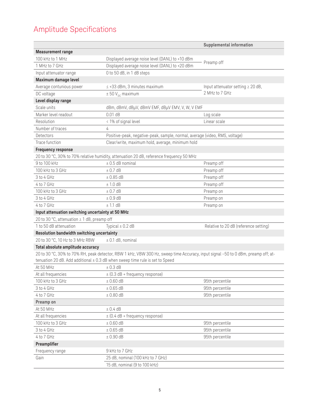# Amplitude Specifications

|                                                   |                                                                                                                                                                                                                        | Supplemental information               |
|---------------------------------------------------|------------------------------------------------------------------------------------------------------------------------------------------------------------------------------------------------------------------------|----------------------------------------|
| <b>Measurement range</b>                          |                                                                                                                                                                                                                        |                                        |
| 100 kHz to 1 MHz                                  | Displayed average noise level (DANL) to +10 dBm                                                                                                                                                                        |                                        |
| 1 MHz to 7 GHz                                    | Displayed average noise level (DANL) to +20 dBm                                                                                                                                                                        | Preamp off                             |
| Input attenuator range                            | 0 to 50 dB, in 1 dB steps                                                                                                                                                                                              |                                        |
| Maximum damage level                              |                                                                                                                                                                                                                        |                                        |
| Average contunious power                          | $\leq$ +33 dBm, 3 minutes maximum                                                                                                                                                                                      | Input attenuator setting $\geq 20$ dB, |
| DC voltage                                        | $\pm 50$ V <sub>nc</sub> maximum                                                                                                                                                                                       | 2 MHz to 7 GHz                         |
| Level display range                               |                                                                                                                                                                                                                        |                                        |
| Scale units                                       | dBm, dBmV, dBµV, dBmV EMF, dBµV EMV, V, W, V EMF                                                                                                                                                                       |                                        |
| Marker level readout                              | $0.01$ dB                                                                                                                                                                                                              | Log scale                              |
| Resolution                                        | < 1% of signal level                                                                                                                                                                                                   | Linear scale                           |
| Number of traces                                  | 4                                                                                                                                                                                                                      |                                        |
| Detectors                                         | Positive-peak, negative-peak, sample, normal, average (video, RMS, voltage)                                                                                                                                            |                                        |
| Trace function                                    | Clear/write, maximum hold, average, minimum hold                                                                                                                                                                       |                                        |
| <b>Frequency response</b>                         |                                                                                                                                                                                                                        |                                        |
|                                                   | 20 to 30 °C, 30% to 70% relative humidity, attenuation 20 dB, reference frequency 50 MHz                                                                                                                               |                                        |
| 9 to 100 kHz                                      | $±$ 0.5 dB nominal                                                                                                                                                                                                     | Preamp off                             |
| 100 kHz to 3 GHz                                  | ± 0.7 dB                                                                                                                                                                                                               | Preamp off                             |
| 3 to 4 GHz                                        | ± 0.85 dB                                                                                                                                                                                                              | Preamp off                             |
| 4 to 7 GHz                                        | ± 1.0dB                                                                                                                                                                                                                | Preamp off                             |
| 100 kHz to 3 GHz                                  | ± 0.7 dB                                                                                                                                                                                                               | Preamp on                              |
| 3 to 4 GHz                                        | $± 0.9$ dB                                                                                                                                                                                                             | Preamp on                              |
| 4 to 7 GHz                                        | ± 1.1 dB                                                                                                                                                                                                               | Preamp on                              |
| Input attenuation switching uncertainty at 50 MHz |                                                                                                                                                                                                                        |                                        |
| 20 to 30 °C, attenuation ≥ 1 dB, preamp off       |                                                                                                                                                                                                                        |                                        |
| 1 to 50 dB attenuation                            | Typical $\pm$ 0.2 dB                                                                                                                                                                                                   | Relative to 20 dB (reference setting)  |
| Resolution bandwidth switching uncertainty        |                                                                                                                                                                                                                        |                                        |
| 20 to 30 °C, 10 Hz to 3 MHz RBW                   | $±$ 0.1 dB, nominal                                                                                                                                                                                                    |                                        |
| Total absolute amplitude accuracy                 |                                                                                                                                                                                                                        |                                        |
|                                                   | 20 to 30 °C, 30% to 70% RH, peak detector, RBW 1 kHz, VBW 300 Hz, sweep time Accuracy, input signal -50 to 0 dBm, preamp off; at-<br>tenuation 20 dB. Add additional $\pm$ 0.3 dB when sweep time rule is set to Speed |                                        |
| At 50 MHz                                         | ± 0.3 dB                                                                                                                                                                                                               |                                        |
| At all frequencies                                | $\pm$ (0.3 dB + frequency response)                                                                                                                                                                                    |                                        |
| 100 kHz to 3 GHz                                  | $\pm 0.60$ dB                                                                                                                                                                                                          | 95th percentile                        |
| 3 to 4 GHz                                        | ± 0.65 dB                                                                                                                                                                                                              | 95th percentile                        |
| 4 to 7 GHz                                        | $± 0.80$ dB                                                                                                                                                                                                            | 95th percentile                        |
| Preamp on                                         |                                                                                                                                                                                                                        |                                        |
| At 50 MHz                                         | ± 0.4 dB                                                                                                                                                                                                               |                                        |
| At all frequencies                                | $\pm$ (0.4 dB + frequency response)                                                                                                                                                                                    |                                        |
| 100 kHz to 3 GHz                                  | $± 0.60$ dB                                                                                                                                                                                                            | 95th percentile                        |
| 3 to 4 GHz                                        | $\pm$ 0.65 dB                                                                                                                                                                                                          | 95th percentile                        |
| 4 to 7 GHz                                        | $± 0.90$ dB                                                                                                                                                                                                            | 95th percentile                        |
| Preamplifier                                      |                                                                                                                                                                                                                        |                                        |
| Frequency range                                   | 9 kHz to 7 GHz                                                                                                                                                                                                         |                                        |
| Gain                                              | 25 dB, nominal (100 kHz to 7 GHz)                                                                                                                                                                                      |                                        |
|                                                   | 15 dB, nominal (9 to 100 kHz)                                                                                                                                                                                          |                                        |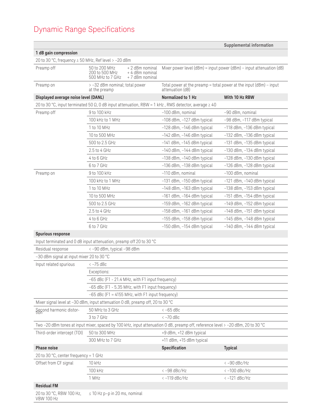# Dynamic Range Specifications

|                                                      |                                                                                                                                 |                                                                                          | Supplemental information                                                   |
|------------------------------------------------------|---------------------------------------------------------------------------------------------------------------------------------|------------------------------------------------------------------------------------------|----------------------------------------------------------------------------|
| 1 dB gain compression                                |                                                                                                                                 |                                                                                          |                                                                            |
| 20 to 30 °C, frequency ≥ 50 MHz, Ref level > -20 dBm |                                                                                                                                 |                                                                                          |                                                                            |
| Preamp off                                           | 50 to 200 MHz<br>+ 2 dBm nominal<br>200 to 500 MHz<br>+ 4 dBm nominal<br>+7 dBm nominal<br>500 MHz to 7 GHz                     |                                                                                          | Mixer power level $(dBm)$ = input power $(dBm)$ – input attenuation $(dB)$ |
| Preamp on                                            | > -32 dBm nominal; total power<br>at the preamp                                                                                 | Total power at the preamp = total power at the input $(dBm)$ – input<br>attenuation (dB) |                                                                            |
| Displayed average noise level (DANL)                 |                                                                                                                                 | Normalized to 1 Hz                                                                       | With 10 Hz RBW                                                             |
|                                                      | 20 to 30 °C, input terminated 50 $\Omega$ , 0 dB input attenuation, RBW = 1 kHz, RMS detector, average $\geq$ 40                |                                                                                          |                                                                            |
| Preamp off                                           | 9 to 100 kHz                                                                                                                    | -100 dBm, nominal                                                                        | -90 dBm, nominal                                                           |
|                                                      | 100 kHz to 1 MHz                                                                                                                | $-108$ dBm, $-127$ dBm typical                                                           | -98 dBm, -117 dBm typical                                                  |
|                                                      | 1 to 10 MHz                                                                                                                     | $-128$ dBm, $-146$ dBm typical                                                           | -118 dBm, -136 dBm typical                                                 |
|                                                      | 10 to 500 MHz                                                                                                                   | -142 dBm, -146 dBm typical                                                               | -132 dBm, -136 dBm typical                                                 |
|                                                      | 500 to 2.5 GHz                                                                                                                  | $-141$ dBm, $-145$ dBm typical                                                           | $-131$ dBm, $-135$ dBm typical                                             |
|                                                      | 2.5 to 4 GHz                                                                                                                    | $-140$ dBm, $-144$ dBm typical                                                           | -130 dBm, -134 dBm typical                                                 |
|                                                      | 4 to 6 GHz                                                                                                                      | $-138$ dBm, $-140$ dBm typical                                                           | $-128$ dBm, $-130$ dBm typical                                             |
|                                                      | 6 to 7 GHz                                                                                                                      | -136 dBm, -138 dBm typical                                                               | -126 dBm, -128 dBm typical                                                 |
| Preamp on                                            | 9 to 100 kHz                                                                                                                    | -110 dBm, nominal                                                                        | -100 dBm, nominal                                                          |
|                                                      | 100 kHz to 1 MHz                                                                                                                | -131 dBm, -150 dBm typical                                                               | $-121$ dBm, $-140$ dBm typical                                             |
|                                                      | 1 to 10 MHz                                                                                                                     | $-148$ dBm, $-163$ dBm typical                                                           | $-138$ dBm, $-153$ dBm typical                                             |
|                                                      | 10 to 500 MHz                                                                                                                   | $-161$ dBm, $-164$ dBm typical                                                           | $-151$ dBm, $-154$ dBm typical                                             |
|                                                      | 500 to 2.5 GHz                                                                                                                  | -159 dBm, -162 dBm typical                                                               | -149 dBm, -152 dBm typical                                                 |
|                                                      | $2.5$ to 4 GHz                                                                                                                  | -158 dBm, -161 dBm typical                                                               | $-148$ dBm, $-151$ dBm typical                                             |
|                                                      | 4 to 6 GHz                                                                                                                      | -155 dBm, -158 dBm typical                                                               | $-145$ dBm, $-148$ dBm typical                                             |
|                                                      | 6 to 7 GHz                                                                                                                      | $-150$ dBm, $-154$ dBm typical                                                           | $-140$ dBm, $-144$ dBm typical                                             |
| <b>Spurious response</b>                             |                                                                                                                                 |                                                                                          |                                                                            |
|                                                      | Input terminated and 0 dB input attenuation, preamp off 20 to 30 °C                                                             |                                                                                          |                                                                            |
| Residual response                                    | <-90 dBm, typical -98 dBm                                                                                                       |                                                                                          |                                                                            |
| -30 dBm signal at input mixer 20 to 30 °C            |                                                                                                                                 |                                                                                          |                                                                            |
| Input related spurious                               | $<-75$ dBc                                                                                                                      |                                                                                          |                                                                            |
|                                                      | Exceptions:                                                                                                                     |                                                                                          |                                                                            |
|                                                      | -65 dBc (F1 - 21.4 MHz, with F1 input frequency)                                                                                |                                                                                          |                                                                            |
|                                                      | -65 dBc (F1 - 5.35 MHz, with F1 input frequency)                                                                                |                                                                                          |                                                                            |
|                                                      | $-65$ dBc (F1 = 4155 MHz, with F1 input frequency)                                                                              |                                                                                          |                                                                            |
|                                                      | Mixer signal level at -30 dBm, input attenuation 0 dB, preamp off, 20 to 30 °C                                                  |                                                                                          |                                                                            |
| Second harmonic distor-                              | 50 MHz to 3 GHz                                                                                                                 | $<-65$ dBc                                                                               |                                                                            |
|                                                      | 3 to 7 GHz                                                                                                                      | $<-70$ dBc                                                                               |                                                                            |
|                                                      | Two -20 dBm tones at input mixer, spaced by 100 kHz, input attenuation 0 dB, preamp off, reference level > -20 dBm, 20 to 30 °C |                                                                                          |                                                                            |
| Third-order intercept (TOI)                          | 50 to 300 MHz                                                                                                                   | +9 dBm, +12 dBm typical                                                                  |                                                                            |
|                                                      | 300 MHz to 7 GHz                                                                                                                | +11 dBm, +15 dBm typical                                                                 |                                                                            |
| <b>Phase noise</b>                                   |                                                                                                                                 | Specification                                                                            | <b>Typical</b>                                                             |
| 20 to 30 °C, center frequency = 1 GHz                |                                                                                                                                 |                                                                                          |                                                                            |
| Offset from CF signal                                | 10 kHz                                                                                                                          |                                                                                          | $<-90$ dBc/Hz                                                              |
|                                                      | 100 kHz                                                                                                                         | $<-98$ dBc/Hz                                                                            | $<-100$ dBc/Hz                                                             |
|                                                      | 1 MHz                                                                                                                           | $<-119$ dBc/Hz                                                                           | $<-121$ dBc/Hz                                                             |
| <b>Residual FM</b>                                   |                                                                                                                                 |                                                                                          |                                                                            |
| 20 to 30 °C, RBW 100 Hz,<br><b>VBW 100 Hz</b>        | $\leq$ 10 Hz p-p in 20 ms, nominal                                                                                              |                                                                                          |                                                                            |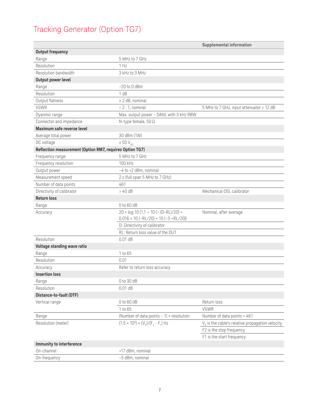# Tracking Generator (Option TG7)

|                                                          |                                                                                                | Supplemental information                          |
|----------------------------------------------------------|------------------------------------------------------------------------------------------------|---------------------------------------------------|
| <b>Output frequency</b>                                  |                                                                                                |                                                   |
| Range                                                    | 5 MHz to 7 GHz                                                                                 |                                                   |
| Resolution                                               | 1 Hz                                                                                           |                                                   |
| Resolution bandwidth                                     | 3 kHz to 3 MHz                                                                                 |                                                   |
| Output power level                                       |                                                                                                |                                                   |
| Range                                                    | $-20$ to $0$ dBm                                                                               |                                                   |
| Resolution                                               | 1 dB                                                                                           |                                                   |
| Output flatness                                          | ± 2 dB, nominal                                                                                |                                                   |
| <b>VSWR</b>                                              | $< 2:1$ , nominal                                                                              | 5 MHz to 7 GHz, input attenuator ≥ 12 dB          |
| Dyanmic range                                            | Max. output power - DANL with 3 kHz RBW                                                        |                                                   |
| Connector and impedance                                  | N-type female, 50 Ω                                                                            |                                                   |
| Maximum safe reverse level                               |                                                                                                |                                                   |
| Average total power                                      | 30 dBm (1W)                                                                                    |                                                   |
| DC voltage                                               | $\pm 50$ V <sub>nc</sub>                                                                       |                                                   |
| Reflection measurement (Option RM7, requires Option TG7) |                                                                                                |                                                   |
| Frequency range                                          | 5 MHz to 7 GHz                                                                                 |                                                   |
| Frequency resolution                                     | 100 kHz                                                                                        |                                                   |
| Output power                                             | $-4$ to $+2$ dBm, nominal                                                                      |                                                   |
| Measurement speed                                        | 2 s (full span 5 MHz to 7 GHz)                                                                 |                                                   |
| Number of data points                                    | 461                                                                                            |                                                   |
| Directivity of calibrator                                | > 40 dB                                                                                        | Mechanical OSL calibrator                         |
| <b>Return loss</b>                                       |                                                                                                |                                                   |
| Range                                                    | 0 to 60 dB                                                                                     |                                                   |
| Accuracy                                                 | $20 \times \log 10 (1.1 + 10 (- (D-RL)/20) +$<br>$0.016 \times 10 (-RL/20) + 10 (-3 + RL/20))$ | Nominal, after average                            |
|                                                          | D: Directivity of calibrator                                                                   |                                                   |
|                                                          | RL: Return loss value of the DUT                                                               |                                                   |
| Resolution                                               | $0.01$ dB                                                                                      |                                                   |
| Voltage standing wave ratio                              |                                                                                                |                                                   |
| Range                                                    | 1 to 65                                                                                        |                                                   |
| Resolution                                               | 0.01                                                                                           |                                                   |
| Accuracy                                                 | Refer to return loss accuracy                                                                  |                                                   |
| <b>Insertion loss</b>                                    |                                                                                                |                                                   |
| Range                                                    | 0 to 30 dB                                                                                     |                                                   |
| Resolution                                               | $0.01$ dB                                                                                      |                                                   |
| Distance-to-fault (DTF)                                  |                                                                                                |                                                   |
| Vertical range                                           | 0 to 60 dB                                                                                     | Return loss                                       |
|                                                          | 1 to 65                                                                                        | <b>VSWR</b>                                       |
| Range                                                    | (Number of data points $-1$ ) $\times$ resolution                                              | Number of data points = 461                       |
| Resolution (meter)                                       | $(1.5 \times 10^8) \times (V_p)/(F_p - F_n)$ Hz                                                | $Vp$ is the cable's relative propagation velocity |
|                                                          |                                                                                                | F2 is the stop frequency                          |
|                                                          |                                                                                                | F1 is the start frequency                         |
| Immunity to interference                                 |                                                                                                |                                                   |
| On-channel                                               | +17 dBm, nominal                                                                               |                                                   |
| On-frequency                                             | -5 dBm, nominal                                                                                |                                                   |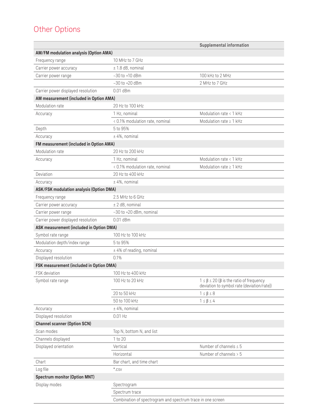## Other Options

|                                          |                                                             | Supplemental information                                                                                 |
|------------------------------------------|-------------------------------------------------------------|----------------------------------------------------------------------------------------------------------|
| AM/FM modulation analysis (Option AMA)   |                                                             |                                                                                                          |
| Frequency range                          | 10 MHz to 7 GHz                                             |                                                                                                          |
| Carrier power accuracy                   | $± 1.8$ dB, nominal                                         |                                                                                                          |
| Carrier power range                      | $-30$ to $+10$ dBm                                          | 100 kHz to 2 MHz                                                                                         |
|                                          | $-30$ to $+20$ dBm                                          | 2 MHz to 7 GHz                                                                                           |
| Carrier power displayed resolution       | $0.01$ dBm                                                  |                                                                                                          |
| AM measurement (included in Option AMA)  |                                                             |                                                                                                          |
| Modulation rate                          | 20 Hz to 100 kHz                                            |                                                                                                          |
| Accuracy                                 | 1 Hz, nominal                                               | Modulation rate < 1 kHz                                                                                  |
|                                          | < 0.1% modulation rate, nominal                             | Modulation rate $\geq 1$ kHz                                                                             |
| Depth                                    | 5 to 95%                                                    |                                                                                                          |
| Accuracy                                 | $± 4\%$ , nominal                                           |                                                                                                          |
| FM measurement (included in Option AMA)  |                                                             |                                                                                                          |
| Modulation rate                          | 20 Hz to 200 kHz                                            |                                                                                                          |
| Accuracy                                 | 1 Hz, nominal                                               | Modulation rate < 1 kHz                                                                                  |
|                                          | < 0.1% modulation rate, nominal                             | Modulation rate $\geq 1$ kHz                                                                             |
| Deviation                                | 20 Hz to 400 kHz                                            |                                                                                                          |
| Accuracy                                 | $± 4\%$ , nominal                                           |                                                                                                          |
| ASK/FSK modulation analysis (Option DMA) |                                                             |                                                                                                          |
| Frequency range                          | 2.5 MHz to 6 GHz                                            |                                                                                                          |
| Carrier power accuracy                   | $±$ 2 dB, nominal                                           |                                                                                                          |
| Carrier power range                      | -30 to +20 dBm, nominal                                     |                                                                                                          |
| Carrier power displayed resolution       | $0.01$ dBm                                                  |                                                                                                          |
| ASK measurement (included in Option DMA) |                                                             |                                                                                                          |
| Symbol rate range                        | 100 Hz to 100 kHz                                           |                                                                                                          |
| Modulation depth/index range             | 5 to 95%                                                    |                                                                                                          |
| Accuracy                                 | $±$ 4% of reading, nominal                                  |                                                                                                          |
| Displayed resolution                     | 0.1%                                                        |                                                                                                          |
| FSK measurement (included in Option DMA) |                                                             |                                                                                                          |
| FSK deviation                            | 100 Hz to 400 kHz                                           |                                                                                                          |
| Symbol rate range                        | 100 Hz to 20 kHz                                            | $1 \leq \beta \leq 20$ ( $\beta$ is the ratio of frequency<br>deviation to symbol rate (deviation/rate)) |
|                                          | 20 to 50 kHz                                                | $1 \leq \beta \leq 8$                                                                                    |
|                                          | 50 to 100 kHz                                               | $1 \leq \beta \leq 4$                                                                                    |
| Accuracy                                 | $± 4\%$ , nominal                                           |                                                                                                          |
| Displayed resolution                     | $0.01$ Hz                                                   |                                                                                                          |
| <b>Channel scanner (Option SCN)</b>      |                                                             |                                                                                                          |
| Scan modes                               | Top N, bottom N, and list                                   |                                                                                                          |
| Channels displayed                       | 1 to 20                                                     |                                                                                                          |
| Displayed orientation                    | Vertical                                                    | Number of channels $\leq 5$                                                                              |
|                                          | Horizontal                                                  | Number of channels > 5                                                                                   |
| Chart                                    | Bar chart, and time chart                                   |                                                                                                          |
| Log file                                 | $*.$ CSV                                                    |                                                                                                          |
| <b>Spectrum monitor (Option MNT)</b>     |                                                             |                                                                                                          |
| Display modes                            | Spectrogram                                                 |                                                                                                          |
|                                          | Spectrum trace                                              |                                                                                                          |
|                                          | Combination of spectrogram and spectrum trace in one screen |                                                                                                          |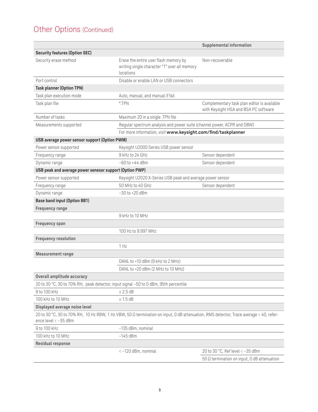## Other Options (Continued)

|                                                                                      |                                                                                                                                       | Supplemental information                                                             |
|--------------------------------------------------------------------------------------|---------------------------------------------------------------------------------------------------------------------------------------|--------------------------------------------------------------------------------------|
| <b>Security features (Option SEC)</b>                                                |                                                                                                                                       |                                                                                      |
| Security erase method                                                                | Erase the entire user flash memory by<br>writing single character "1" over all memory<br>locations                                    | Non-recoverable                                                                      |
| Port control                                                                         | Disable or enable LAN or USB connectors                                                                                               |                                                                                      |
| <b>Task planner (Option TPN)</b>                                                     |                                                                                                                                       |                                                                                      |
| Task plan execution mode                                                             | Auto, manual, and manual if fail                                                                                                      |                                                                                      |
| Task plan file                                                                       | $*$ TPN                                                                                                                               | Complementary task plan editor is available<br>with Keysight HSA and BSA PC software |
| Number of tasks                                                                      | Maximum 20 in a single .TPN file                                                                                                      |                                                                                      |
| Measurements supported                                                               | Regular spectrum analysis and power suite (channel power, ACPR and OBW)                                                               |                                                                                      |
|                                                                                      | For more information, visit www.keysight.com/find/taskplanner                                                                         |                                                                                      |
| USB average power sensor support (Option PWM)                                        |                                                                                                                                       |                                                                                      |
| Power sensor supported                                                               | Keysight U2000 Series USB power sensor                                                                                                |                                                                                      |
| Frequency range                                                                      | 9 kHz to 24 GHz                                                                                                                       | Sensor dependent                                                                     |
| Dynamic range                                                                        | $-60$ to $+44$ dBm                                                                                                                    | Sensor dependent                                                                     |
| USB peak and average power senesor support (Option PWP)                              |                                                                                                                                       |                                                                                      |
| Power sensor supported                                                               | Keysight U2020 X-Series USB peak and average power sensor                                                                             |                                                                                      |
| Frequency range                                                                      | 50 MHz to 40 GHz                                                                                                                      | Sensor dependent                                                                     |
| Dynamic range                                                                        | $-30$ to $+20$ dBm                                                                                                                    |                                                                                      |
| <b>Base band input (Option BB1)</b>                                                  |                                                                                                                                       |                                                                                      |
| <b>Frequency range</b>                                                               |                                                                                                                                       |                                                                                      |
|                                                                                      | 9 kHz to 10 MHz                                                                                                                       |                                                                                      |
| Frequency span                                                                       |                                                                                                                                       |                                                                                      |
|                                                                                      | 100 Hz to 9.997 MHz                                                                                                                   |                                                                                      |
| <b>Frequency resolution</b>                                                          |                                                                                                                                       |                                                                                      |
|                                                                                      | 1 Hz                                                                                                                                  |                                                                                      |
| <b>Measurement range</b>                                                             |                                                                                                                                       |                                                                                      |
|                                                                                      | DANL to +10 dBm (9 kHz to 2 MHz)                                                                                                      |                                                                                      |
|                                                                                      | DANL to +20 dBm (2 MHz to 10 MHz)                                                                                                     |                                                                                      |
| Overall amplitude accuracy                                                           |                                                                                                                                       |                                                                                      |
| 20 to 30 °C, 30 to 70% RH, peak detector, input signal -50 to 0 dBm, 95th percentile |                                                                                                                                       |                                                                                      |
| 9 to 100 kHz                                                                         | ± 2.5 dB                                                                                                                              |                                                                                      |
| 100 kHz to 10 MHz                                                                    | ± 1.5 dB                                                                                                                              |                                                                                      |
| Displayed average noise level                                                        |                                                                                                                                       |                                                                                      |
| ence level < -35 dBm                                                                 | 20 to 30 °C, 30 to 70% RH, 10 Hz RBW, 1 Hz VBW, 50 Ω termination on input, 0 dB attenuation, RMS detector, Trace average > 40, refer- |                                                                                      |
| 9 to 100 kHz                                                                         | -135 dBm, nominal                                                                                                                     |                                                                                      |
| 100 kHz to 10 MHz                                                                    | $-145$ dBm                                                                                                                            |                                                                                      |
| Residual response                                                                    |                                                                                                                                       |                                                                                      |
|                                                                                      | <- 120 dBm, nominal                                                                                                                   | 20 to 30 °C, Ref level < -35 dBm                                                     |
|                                                                                      |                                                                                                                                       | 50 $\Omega$ termination on input, 0 dB attenuation                                   |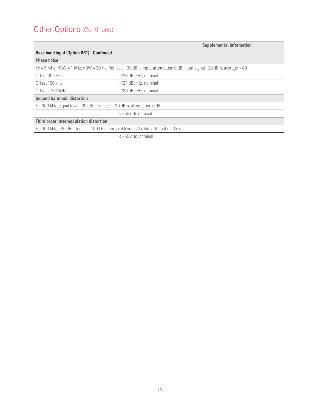## Other Options (Continued)

|                                                                                  | Supplemental information                                                                                            |
|----------------------------------------------------------------------------------|---------------------------------------------------------------------------------------------------------------------|
| Base band input (Option BB1) - Continued                                         |                                                                                                                     |
| Phase noise                                                                      |                                                                                                                     |
|                                                                                  | Fc = 5 MHz, RBW = 1 kHz, VBW = 30 Hz. Ref level -30 dBm, input attenuation 0 dB, input signal -20 dBm, average > 40 |
| Offset 30 kHz                                                                    | -120 dBc/Hz, nominal                                                                                                |
| Offset 100 kHz                                                                   | -127 dBc/Hz, nominal                                                                                                |
| Offset $> 200$ kHz                                                               | -130 dBc/Hz, nominal                                                                                                |
| Second harmonic distortion                                                       |                                                                                                                     |
| $F > 100$ kHz, signal level $-30$ dBm, ref level $-30$ dBm, attenuation 0 dB     |                                                                                                                     |
|                                                                                  | $\leftarrow$ -55 dBc nominal                                                                                        |
| Third order intermodulation distortion                                           |                                                                                                                     |
| F > 100 kHz, -20 dBm tones at 100 kHz apart, ref level -20 dBm, attenuation 0 dB |                                                                                                                     |
|                                                                                  | $\langle -55$ dBc, nominal                                                                                          |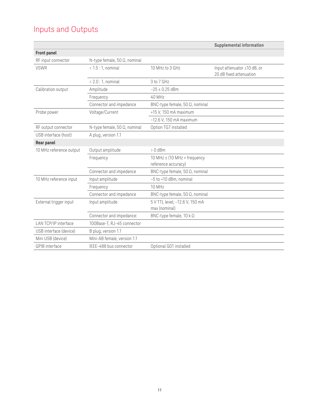## Inputs and Outputs

|                         |                                      |                                                                | Supplemental information                               |
|-------------------------|--------------------------------------|----------------------------------------------------------------|--------------------------------------------------------|
| Front panel             |                                      |                                                                |                                                        |
| RF input connector      | N-type female, 50 $\Omega$ , nominal |                                                                |                                                        |
| <b>VSWR</b>             | $< 1.5:1$ , nominal                  | 10 MHz to 3 GHz                                                | Input attenuator ≥10 dB, or<br>20 dB fixed attenuation |
|                         | $< 2.0:1$ , nominal                  | 3 to 7 GHz                                                     |                                                        |
| Calibration output      | Amplitude                            | $-25 \pm 0.25$ dBm                                             |                                                        |
|                         | Frequency                            | 40 MHz                                                         |                                                        |
|                         | Connector and impedance              | BNC-type female, 50 Ω, nominal                                 |                                                        |
| Probe power             | Voltage/Current                      | +15 V, 150 mA maximum                                          |                                                        |
|                         |                                      | $-12.6$ V, 150 mA maximum                                      |                                                        |
| RF output connector     | N-type female, 50 $\Omega$ , nominal | Option TG7 installed                                           |                                                        |
| USB interface (host)    | A plug, version 1.1                  |                                                                |                                                        |
| Rear panel              |                                      |                                                                |                                                        |
| 10 MHz reference output | Output amplitude                     | $> 0$ dBm                                                      |                                                        |
|                         | Frequency                            | 10 MHz $\pm$ (10 MHz $\times$ frequency<br>reference accuracy) |                                                        |
|                         | Connector and impedance              | BNC-type female, 50 $\Omega$ , nominal                         |                                                        |
| 10 MHz reference input  | Input amplitude                      | -5 to +10 dBm, nominal                                         |                                                        |
|                         | Frequency                            | 10 MHz                                                         |                                                        |
|                         | Connector and impedance              | BNC-type female, 50 $\Omega$ , nominal                         |                                                        |
| External trigger input  | Input amplitude                      | 5 V TTL level; -12.6 V, 150 mA<br>max (nominal)                |                                                        |
|                         | Connector and impedance:             | BNC-type female, 10 k Ω                                        |                                                        |
| LAN TCP/IP interface    | 100Base-T, RJ-45 connector           |                                                                |                                                        |
| USB interface (device)  | B plug, version 1.1                  |                                                                |                                                        |
| Mini USB (device)       | Mini-AB female, version 1.1          |                                                                |                                                        |
| GPIB interface          | IEEE-488 bus connector               | Optional G01 installed                                         |                                                        |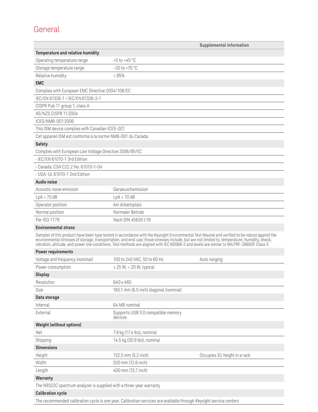## General

|                                                                     |                                                                                                                                                                                                                                                                                                                                                                                                                                             | Supplemental information     |
|---------------------------------------------------------------------|---------------------------------------------------------------------------------------------------------------------------------------------------------------------------------------------------------------------------------------------------------------------------------------------------------------------------------------------------------------------------------------------------------------------------------------------|------------------------------|
| Temperature and relative humidity                                   |                                                                                                                                                                                                                                                                                                                                                                                                                                             |                              |
| Operating temperature range                                         | $+5$ to $+45$ °C                                                                                                                                                                                                                                                                                                                                                                                                                            |                              |
| Storage temperature range                                           | $-20$ to $+70$ °C                                                                                                                                                                                                                                                                                                                                                                                                                           |                              |
| Relative humidity                                                   | < 95%                                                                                                                                                                                                                                                                                                                                                                                                                                       |                              |
| <b>EMC</b>                                                          |                                                                                                                                                                                                                                                                                                                                                                                                                                             |                              |
| Complies with European EMC Directive 2004/108/EC                    |                                                                                                                                                                                                                                                                                                                                                                                                                                             |                              |
| IEC/EN 61326-1 / IEC/EN 61326-2-1                                   |                                                                                                                                                                                                                                                                                                                                                                                                                                             |                              |
| CISPR Pub 11 group 1, class A                                       |                                                                                                                                                                                                                                                                                                                                                                                                                                             |                              |
| AS/NZS CISPR 11:2004                                                |                                                                                                                                                                                                                                                                                                                                                                                                                                             |                              |
| ICES/NMB-001:2006                                                   |                                                                                                                                                                                                                                                                                                                                                                                                                                             |                              |
| This ISM device complies with Canadian ICES-001                     |                                                                                                                                                                                                                                                                                                                                                                                                                                             |                              |
| Cet appareil ISM est conforme à la norme NMB-001 du Canada          |                                                                                                                                                                                                                                                                                                                                                                                                                                             |                              |
| <b>Safety</b>                                                       |                                                                                                                                                                                                                                                                                                                                                                                                                                             |                              |
| Complies with European Low Voltage Directive 2006/95/EC             |                                                                                                                                                                                                                                                                                                                                                                                                                                             |                              |
| · IEC/EN 61010-1 3rd Edition                                        |                                                                                                                                                                                                                                                                                                                                                                                                                                             |                              |
| - Canada: CSA C22.2 No. 61010-1-04                                  |                                                                                                                                                                                                                                                                                                                                                                                                                                             |                              |
| · USA: UL 61010-1 2nd Edition                                       |                                                                                                                                                                                                                                                                                                                                                                                                                                             |                              |
| Audio noise                                                         |                                                                                                                                                                                                                                                                                                                                                                                                                                             |                              |
| Acoustic noise emission                                             | Geraeuschemission                                                                                                                                                                                                                                                                                                                                                                                                                           |                              |
| LpA < 70dB                                                          | LpA < 70dB                                                                                                                                                                                                                                                                                                                                                                                                                                  |                              |
| Operator position                                                   | Am Arbeitsplatz                                                                                                                                                                                                                                                                                                                                                                                                                             |                              |
| Normal position                                                     | Normaler Betrieb                                                                                                                                                                                                                                                                                                                                                                                                                            |                              |
| Per ISO 7779                                                        | Nach DIN 45635 t.19                                                                                                                                                                                                                                                                                                                                                                                                                         |                              |
| <b>Environmental stress</b>                                         |                                                                                                                                                                                                                                                                                                                                                                                                                                             |                              |
|                                                                     | Samples of this product have been type tested in accordance with the Keysight Environmental Test Maunal and verified to be robust against the<br>environmental stresses of storage, transportation, and end-use; those stresses include, but are not limited to, temperature, humidity, shock,<br>vibration, altitude, and power line conditions. Test methods are aligned with IEC 60068-2 and levels are similar to MILPRF-28800F Class 3 |                              |
| <b>Power requirements</b>                                           |                                                                                                                                                                                                                                                                                                                                                                                                                                             |                              |
| Voltage and frequency (nominal)                                     | 100 to 240 VAC, 50 to 60 Hz                                                                                                                                                                                                                                                                                                                                                                                                                 | Auto ranging                 |
| Power consumption                                                   | $\leq$ 25 W, < 20 W, typical                                                                                                                                                                                                                                                                                                                                                                                                                |                              |
| <b>Display</b>                                                      |                                                                                                                                                                                                                                                                                                                                                                                                                                             |                              |
| Resolution                                                          | 640 x 480                                                                                                                                                                                                                                                                                                                                                                                                                                   |                              |
| Size                                                                | 165.1 mm (6.5 inch) diagonal (nominal)                                                                                                                                                                                                                                                                                                                                                                                                      |                              |
| Data storage                                                        |                                                                                                                                                                                                                                                                                                                                                                                                                                             |                              |
| Internal                                                            | 64 MB nominal                                                                                                                                                                                                                                                                                                                                                                                                                               |                              |
| External                                                            | Supports USB 3.0 compatible memory<br>devices                                                                                                                                                                                                                                                                                                                                                                                               |                              |
| <b>Weight (without options)</b>                                     |                                                                                                                                                                                                                                                                                                                                                                                                                                             |                              |
| Net                                                                 | 7.9 kg (17.4 lbs), nominal                                                                                                                                                                                                                                                                                                                                                                                                                  |                              |
| Shipping                                                            | 14.5 kg (30.9 lbs), nominal                                                                                                                                                                                                                                                                                                                                                                                                                 |                              |
| <b>Dimensions</b>                                                   |                                                                                                                                                                                                                                                                                                                                                                                                                                             |                              |
| Height                                                              | 132.5 mm (5.2 inch)                                                                                                                                                                                                                                                                                                                                                                                                                         | Occupies 3U height in a rack |
| Width                                                               | 320 mm (12.6 inch)                                                                                                                                                                                                                                                                                                                                                                                                                          |                              |
| Length                                                              | 400 mm (15.7 inch)                                                                                                                                                                                                                                                                                                                                                                                                                          |                              |
| Warranty                                                            |                                                                                                                                                                                                                                                                                                                                                                                                                                             |                              |
| The N9322C spectrum analyzer is supplied with a three-year warranty |                                                                                                                                                                                                                                                                                                                                                                                                                                             |                              |
| <b>Calibration cycle</b>                                            |                                                                                                                                                                                                                                                                                                                                                                                                                                             |                              |

The recommended calibration cycle is one year. Calibration services are available through Keysight service centers